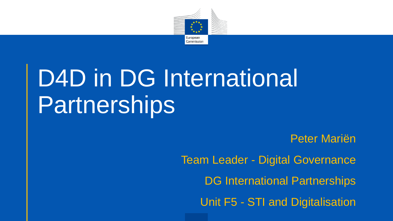

# D4D in DG International Partnerships

Peter Mariën Team Leader - Digital Governance DG International Partnerships Unit F5 - STI and Digitalisation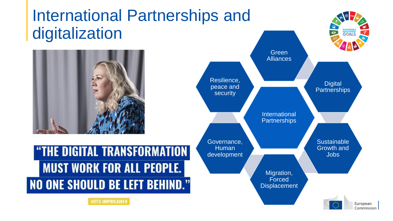### International Partnerships and digitalization



"THE DIGITAL TRANSFORMATION **MUST WORK FOR ALL PEOPLE. NO ONE SHOULD BE LEFT BEHIND."** 



**JUITA URPRILAINEN**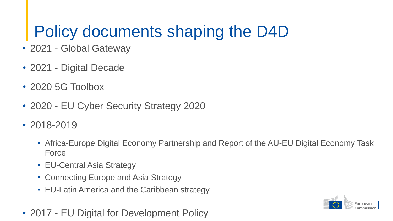## Policy documents shaping the D4D

- 2021 Global Gateway
- 2021 Digital Decade
- 2020 5G Toolbox
- 2020 EU Cyber Security Strategy 2020
- 2018-2019
	- Africa-Europe Digital Economy Partnership and Report of the AU-EU Digital Economy Task Force
	- EU-Central Asia Strategy
	- Connecting Europe and Asia Strategy
	- EU-Latin America and the Caribbean strategy
- 2017 EU Digital for Development Policy

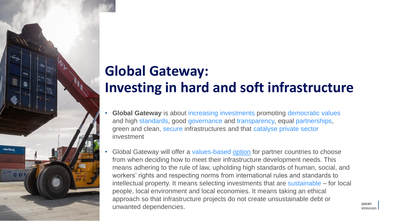### **Global Gateway: Investing in hard and soft infrastructure**

- **Global Gateway** is about increasing investments promoting democratic values and high standards, good governance and transparency, equal partnerships, green and clean, secure infrastructures and that catalyse private sector investment
- Global Gateway will offer a values-based option for partner countries to choose from when deciding how to meet their infrastructure development needs. This means adhering to the rule of law, upholding high standards of human, social, and workers' rights and respecting norms from international rules and standards to intellectual property. It means selecting investments that are sustainable – for local people, local environment and local economies. It means taking an ethical approach so that infrastructure projects do not create unsustainable debt or unwanted dependencies.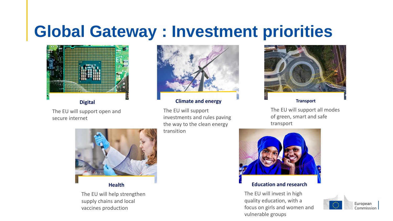### **Global Gateway : Investment priorities**



**Digital**

The EU will support open and secure internet



#### **Climate and energy**

The EU will support investments and rules paving the way to the clean energy transition



**Transport**

The EU will support all modes of green, smart and safe transport



#### **Education and research**

The EU will invest in high quality education, with a focus on girls and women and vulnerable groups





**Health**

The EU will help strengthen supply chains and local vaccines production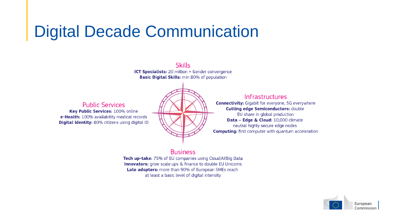### Digital Decade Communication

**Skills** ICT Specialists: 20 million + Gender convergence **Basic Digital Skills:** min 80% of population

**Public Services** Key Public Services: 100% online e-Health: 100% availability medical records **Digital Identity:** 80% citizens using digital ID



#### Infrastructures

**Connectivity:** Gigabit for everyone, 5G everywhere **Cutting edge Semiconductors: double** EU share in global production Data - Edge & Cloud: 10,000 climate neutral highly secure edge nodes **Computing:** first computer with quantum acceleration

#### **Business**

Tech up-take: 75% of EU companies using Cloud/Al/Big Data **Innovators:** grow scale ups & finance to double EU Unicorns Late adopters: more than 90% of European SMEs reach at least a basic level of digital intensity

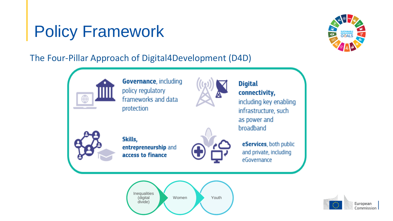### Policy Framework



The Four-Pillar Approach of Digital4Development (D4D)



**Governance, including** policy regulatory frameworks and data protection



#### **Digital** connectivity,

including key enabling infrastructure, such as power and broadband



Skills, entrepreneurship and access to finance



eServices, both public and private, including eGovernance